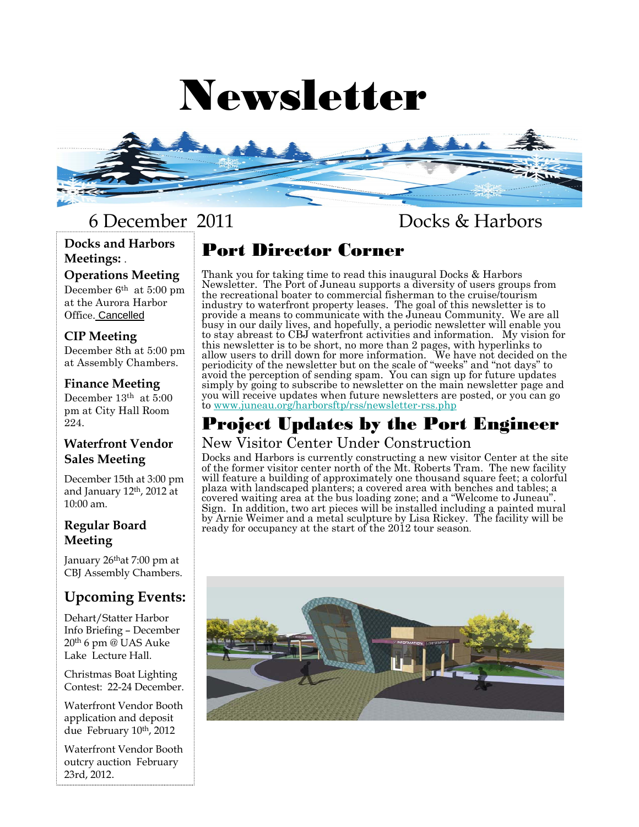# Newsletter



**Docks and Harbors Meetings:** .

#### **Operations Meeting**

December 6th at 5:00 pm at the Aurora Harbor Office. Cancelled

#### **CIP Meeting**

December 8th at 5:00 pm at Assembly Chambers.

#### **Finance Meeting**

December 13th at 5:00 pm at City Hall Room 224.

#### **Waterfront Vendor Sales Meeting**

December 15th at 3:00 pm and January 12th, 2012 at 10:00 am.

#### **Regular Board Meeting**

January  $26<sup>th</sup>$ at  $7:00$  pm at CBJ Assembly Chambers.

# **Upcoming Events:**

Dehart/Statter Harbor Info Briefing – December 20th 6 pm @ UAS Auke Lake Lecture Hall.

Christmas Boat Lighting Contest: 22-24 December.

Waterfront Vendor Booth application and deposit due February 10<sup>th</sup>, 2012

Waterfront Vendor Booth outcry auction February 23rd, 2012.

# 6 December 2011 Docks & Harbors

# Port Director Corner

Thank you for taking time to read this inaugural Docks & Harbors Newsletter. The Port of Juneau supports a diversity of users groups from the recreational boater to commercial fisherman to the cruise/tourism industry to waterfront property leases. The goal of this newsletter is to provide a means to communicate with the Juneau Community. We are all busy in our daily lives, and hopefully, a periodic newsletter will enable you to stay abreast to CBJ waterfront activities and information. My vision for this newsletter is to be short, no more than 2 pages, with hyperlinks to allow users to drill down for more information. We have not decided on the periodicity of the newsletter but on the scale of "weeks" and "not days" to avoid the perception of sending spam. You can sign up for future updates simply by going to subscribe to newsletter on the main newsletter page and you will receive updates when future newsletters are posted, or you can go to www.juneau.org/harborsftp/rss/newsletter-rss.php

#### Project Updates by the Port Engineer New Visitor Center Under Construction

Docks and Harbors is currently constructing a new visitor Center at the site of the former visitor center north of the Mt. Roberts Tram. The new facility will feature a building of approximately one thousand square feet; a colorful plaza with landscaped planters; a covered area with benches and tables; a covered waiting area at the bus loading zone; and a "Welcome to Juneau". Sign. In addition, two art pieces will be installed including a painted mural by Arnie Weimer and a metal sculpture by Lisa Rickey. The facility will be ready for occupancy at the start of the 2012 tour season.